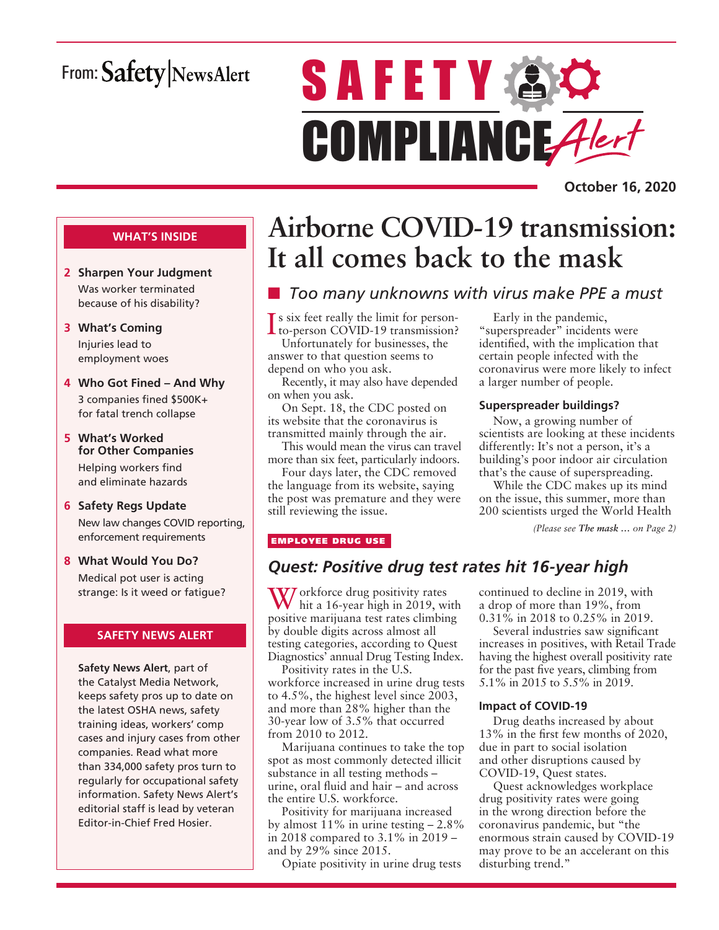# From: Safety NewsAlert

# **SAFETY & O** COMPLIANCE Alert

**October 16, 2020**

### **WHAT'S INSIDE**

- **2 Sharpen Your Judgment** Was worker terminated because of his disability?
- **3 What's Coming** Injuries lead to employment woes
- **4 Who Got Fined And Why** 3 companies fined \$500K+ for fatal trench collapse
- **5 What's Worked for Other Companies** Helping workers find and eliminate hazards
- **6 Safety Regs Update** New law changes COVID reporting, enforcement requirements
- **8 What Would You Do?** Medical pot user is acting strange: Is it weed or fatigue?

### **SAFETY NEWS ALERT**

**Safety News Alert**, part of the Catalyst Media Network, keeps safety pros up to date on the latest OSHA news, safety training ideas, workers' comp cases and injury cases from other companies. Read what more than 334,000 safety pros turn to regularly for occupational safety information. Safety News Alert's editorial staff is lead by veteran Editor-in-Chief Fred Hosier.

# **Airborne COVID-19 transmission: It all comes back to the mask**

### **n** *Too many unknowns with virus make PPE a must*

Is six feet really the limit for person-<br>to-person COVID-19 transmission? to-person COVID-19 transmission? Unfortunately for businesses, the

answer to that question seems to depend on who you ask.

Recently, it may also have depended on when you ask.

On Sept. 18, the CDC posted on its website that the coronavirus is transmitted mainly through the air.

This would mean the virus can travel more than six feet, particularly indoors.

Four days later, the CDC removed the language from its website, saying the post was premature and they were still reviewing the issue.

Early in the pandemic, "superspreader" incidents were identified, with the implication that certain people infected with the coronavirus were more likely to infect a larger number of people.

### **Superspreader buildings?**

Now, a growing number of scientists are looking at these incidents differently: It's not a person, it's a building's poor indoor air circulation that's the cause of superspreading.

While the CDC makes up its mind on the issue, this summer, more than 200 scientists urged the World Health

*(Please see The mask … on Page 2)*

### EMPLOYEE DRUG USE

### *Quest: Positive drug test rates hit 16-year high*

W orkforce drug positivity rates hit a 16-year high in 2019, with positive marijuana test rates climbing by double digits across almost all testing categories, according to Quest Diagnostics' annual Drug Testing Index.

Positivity rates in the U.S. workforce increased in urine drug tests to 4.5%, the highest level since 2003, and more than 28% higher than the 30-year low of 3.5% that occurred from 2010 to 2012.

Marijuana continues to take the top spot as most commonly detected illicit substance in all testing methods – urine, oral fluid and hair – and across the entire U.S. workforce.

Positivity for marijuana increased by almost  $11\%$  in urine testing  $-2.8\%$ in 2018 compared to 3.1% in 2019 – and by 29% since 2015.

Opiate positivity in urine drug tests

continued to decline in 2019, with a drop of more than 19%, from 0.31% in 2018 to 0.25% in 2019.

Several industries saw significant increases in positives, with Retail Trade having the highest overall positivity rate for the past five years, climbing from 5.1% in 2015 to 5.5% in 2019.

### **Impact of COVID-19**

Drug deaths increased by about 13% in the first few months of 2020, due in part to social isolation and other disruptions caused by COVID-19, Quest states.

Quest acknowledges workplace drug positivity rates were going in the wrong direction before the coronavirus pandemic, but "the enormous strain caused by COVID-19 may prove to be an accelerant on this disturbing trend."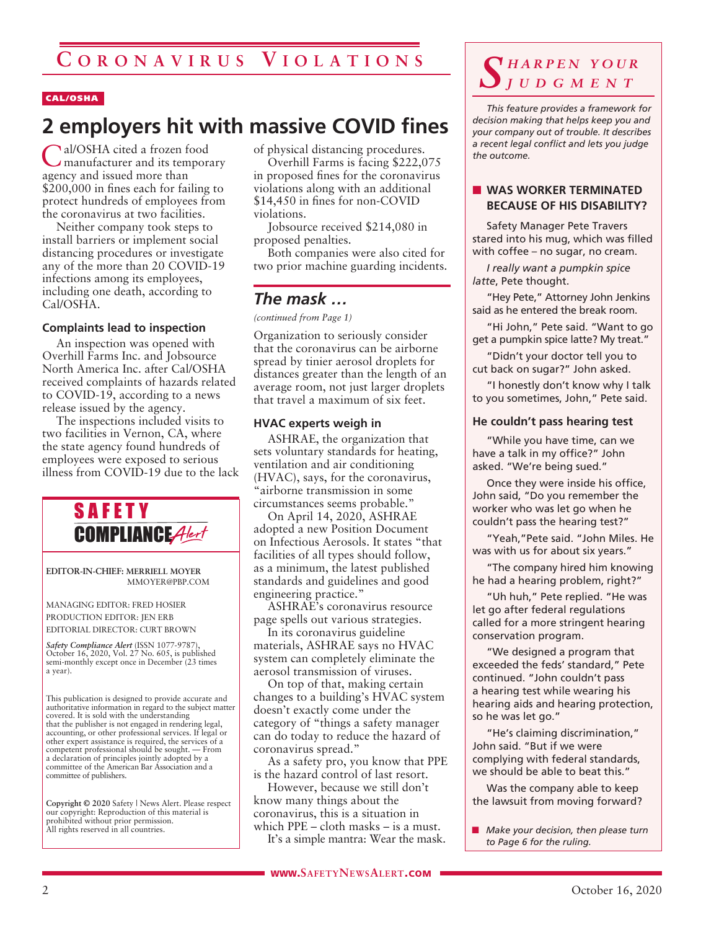#### CAL/OSHA

### **2 employers hit with massive COVID fines**

Cal/OSHA cited a frozen food manufacturer and its temporary agency and issued more than \$200,000 in fines each for failing to protect hundreds of employees from the coronavirus at two facilities.

Neither company took steps to install barriers or implement social distancing procedures or investigate any of the more than 20 COVID-19 infections among its employees, including one death, according to Cal/OSHA.

#### **Complaints lead to inspection**

An inspection was opened with Overhill Farms Inc. and Jobsource North America Inc. after Cal/OSHA received complaints of hazards related to COVID-19, according to a news release issued by the agency.

The inspections included visits to two facilities in Vernon, CA, where the state agency found hundreds of employees were exposed to serious illness from COVID-19 due to the lack



**EDITOR-IN-CHIEF: MERRIELL MOYER** MMOYER@PBP.COM

MANAGING EDITOR: FRED HOSIER PRODUCTION EDITOR: JEN ERB EDITORIAL DIRECTOR: CURT BROWN

*Safety Compliance Alert* (ISSN 1077-9787), October 16, 2020, Vol. 27 No. 605, is published semi-monthly except once in December (23 times a year).

This publication is designed to provide accurate and authoritative information in regard to the subject matter covered. It is sold with the understanding that the publisher is not engaged in rendering legal, accounting, or other professional services. If legal or other expert assistance is required, the services of a competent professional should be sought. — From a declaration of principles jointly adopted by a committee of the American Bar Association and a committee of publishers.

**Copyright © 2020** Safety | News Alert. Please respect our copyright: Reproduction of this material is prohibited without prior permission. All rights reserved in all countries.

of physical distancing procedures.

Overhill Farms is facing \$222,075 in proposed fines for the coronavirus violations along with an additional \$14,450 in fines for non-COVID violations.

Jobsource received \$214,080 in proposed penalties.

Both companies were also cited for two prior machine guarding incidents.

### *The mask …*

*(continued from Page 1)*

Organization to seriously consider that the coronavirus can be airborne spread by tinier aerosol droplets for distances greater than the length of an average room, not just larger droplets that travel a maximum of six feet.

#### **HVAC experts weigh in**

ASHRAE, the organization that sets voluntary standards for heating, ventilation and air conditioning (HVAC), says, for the coronavirus, "airborne transmission in some circumstances seems probable."

On April 14, 2020, ASHRAE adopted a new Position Document on Infectious Aerosols. It states "that facilities of all types should follow, as a minimum, the latest published standards and guidelines and good engineering practice."

ASHRAE's coronavirus resource page spells out various strategies.

In its coronavirus guideline materials, ASHRAE says no HVAC system can completely eliminate the aerosol transmission of viruses.

On top of that, making certain changes to a building's HVAC system doesn't exactly come under the category of "things a safety manager can do today to reduce the hazard of coronavirus spread."

As a safety pro, you know that PPE is the hazard control of last resort.

However, because we still don't know many things about the coronavirus, this is a situation in which PPE – cloth masks – is a must.

It's a simple mantra: Wear the mask.

### *S h a r p e n y o u r j u d g m e n t*

*This feature provides a framework for decision making that helps keep you and your company out of trouble. It describes a recent legal conflict and lets you judge the outcome.*

#### **NORKER TERMINATED BECAUSE OF HIS DISABILITY?**

Safety Manager Pete Travers stared into his mug, which was filled with coffee – no sugar, no cream.

*I really want a pumpkin spice latte*, Pete thought.

"Hey Pete," Attorney John Jenkins said as he entered the break room.

"Hi John," Pete said. "Want to go get a pumpkin spice latte? My treat."

"Didn't your doctor tell you to cut back on sugar?" John asked.

"I honestly don't know why I talk to you sometimes, John," Pete said.

#### **He couldn't pass hearing test**

"While you have time, can we have a talk in my office?" John asked. "We're being sued."

Once they were inside his office, John said, "Do you remember the worker who was let go when he couldn't pass the hearing test?"

"Yeah,"Pete said. "John Miles. He was with us for about six years."

"The company hired him knowing he had a hearing problem, right?"

"Uh huh," Pete replied. "He was let go after federal regulations called for a more stringent hearing conservation program.

"We designed a program that exceeded the feds' standard," Pete continued. "John couldn't pass a hearing test while wearing his hearing aids and hearing protection, so he was let go."

"He's claiming discrimination," John said. "But if we were complying with federal standards, we should be able to beat this."

Was the company able to keep the lawsuit from moving forward?

**n** *Make your decision, then please turn to Page 6 for the ruling.*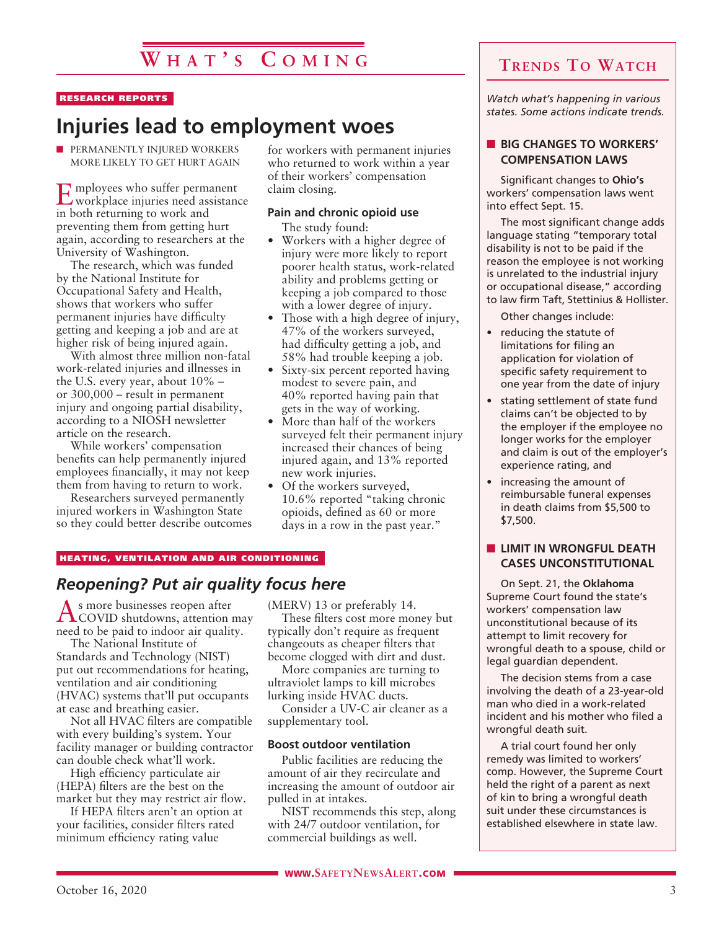### **W h a t ' s C o m i n g**

#### RESEARCH REPORTS

### **Injuries lead to employment woes**

**n** PERMANENTLY INJURED WORKERS MORE LIKELY TO GET HURT AGAIN

Employees who suffer permanent workplace injuries need assistance in both returning to work and preventing them from getting hurt again, according to researchers at the University of Washington.

The research, which was funded by the National Institute for Occupational Safety and Health, shows that workers who suffer permanent injuries have difficulty getting and keeping a job and are at higher risk of being injured again.

With almost three million non-fatal work-related injuries and illnesses in the U.S. every year, about 10% – or 300,000 – result in permanent injury and ongoing partial disability, according to a NIOSH newsletter article on the research.

While workers' compensation benefits can help permanently injured employees financially, it may not keep them from having to return to work.

Researchers surveyed permanently injured workers in Washington State so they could better describe outcomes for workers with permanent injuries who returned to work within a year of their workers' compensation claim closing.

### **Pain and chronic opioid use**

The study found:

- Workers with a higher degree of injury were more likely to report poorer health status, work-related ability and problems getting or keeping a job compared to those with a lower degree of injury.
- Those with a high degree of injury, 47% of the workers surveyed, had difficulty getting a job, and 58% had trouble keeping a job.
- Sixty-six percent reported having modest to severe pain, and 40% reported having pain that gets in the way of working.
- More than half of the workers surveyed felt their permanent injury increased their chances of being injured again, and 13% reported new work injuries.
- Of the workers surveyed, 10.6% reported "taking chronic opioids, defined as 60 or more days in a row in the past year."

#### HEATING, VENTILATION AND AIR CONDITIONING

### *Reopening? Put air quality focus here*

As more businesses reopen after COVID shutdowns, attention may need to be paid to indoor air quality.

The National Institute of Standards and Technology (NIST) put out recommendations for heating, ventilation and air conditioning (HVAC) systems that'll put occupants at ease and breathing easier.

Not all HVAC filters are compatible with every building's system. Your facility manager or building contractor can double check what'll work.

High efficiency particulate air (HEPA) filters are the best on the market but they may restrict air flow.

If HEPA filters aren't an option at your facilities, consider filters rated minimum efficiency rating value

(MERV) 13 or preferably 14. These filters cost more money but typically don't require as frequent changeouts as cheaper filters that become clogged with dirt and dust.

More companies are turning to ultraviolet lamps to kill microbes lurking inside HVAC ducts.

Consider a UV-C air cleaner as a supplementary tool.

#### **Boost outdoor ventilation**

Public facilities are reducing the amount of air they recirculate and increasing the amount of outdoor air pulled in at intakes.

NIST recommends this step, along with 24/7 outdoor ventilation, for commercial buildings as well.

### **Trends To Watch**

*Watch what's happening in various states. Some actions indicate trends.*

### **N** BIG CHANGES TO WORKERS' **COMPENSATION LAWS**

Significant changes to **Ohio's** workers' compensation laws went into effect Sept. 15.

The most significant change adds language stating "temporary total disability is not to be paid if the reason the employee is not working is unrelated to the industrial injury or occupational disease," according to law firm Taft, Stettinius & Hollister.

Other changes include:

- reducing the statute of limitations for filing an application for violation of specific safety requirement to one year from the date of injury
- stating settlement of state fund claims can't be objected to by the employer if the employee no longer works for the employer and claim is out of the employer's experience rating, and
- increasing the amount of reimbursable funeral expenses in death claims from \$5,500 to \$7,500.

### **N** LIMIT IN WRONGFUL DEATH **CASES UNCONSTITUTIONAL**

On Sept. 21, the **Oklahoma** Supreme Court found the state's workers' compensation law unconstitutional because of its attempt to limit recovery for wrongful death to a spouse, child or legal guardian dependent.

The decision stems from a case involving the death of a 23-year-old man who died in a work-related incident and his mother who filed a wrongful death suit.

A trial court found her only remedy was limited to workers' comp. However, the Supreme Court held the right of a parent as next of kin to bring a wrongful death suit under these circumstances is established elsewhere in state law.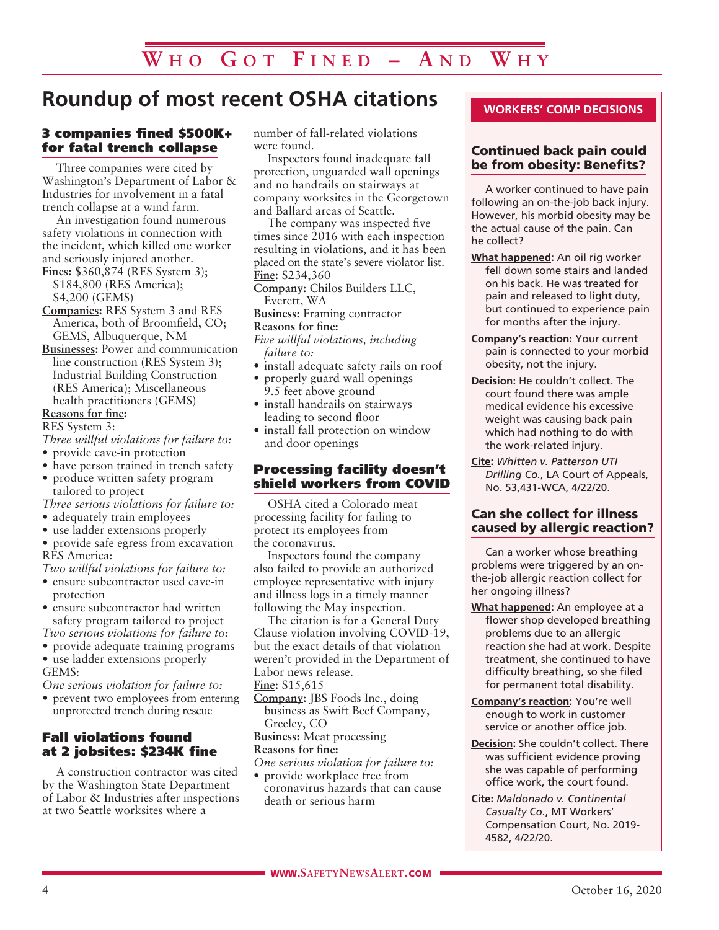### **Roundup of most recent OSHA citations**

### 3 companies fined \$500K+ for fatal trench collapse

Three companies were cited by Washington's Department of Labor & Industries for involvement in a fatal trench collapse at a wind farm.

An investigation found numerous safety violations in connection with the incident, which killed one worker and seriously injured another. **Fines:** \$360,874 (RES System 3);

\$184,800 (RES America); \$4,200 (GEMS)

**Companies:** RES System 3 and RES America, both of Broomfield, CO; GEMS, Albuquerque, NM

**Businesses:** Power and communication line construction (RES System 3); Industrial Building Construction (RES America); Miscellaneous health practitioners (GEMS)

### **Reasons for fine:**

RES System 3:

*Three willful violations for failure to:*

- provide cave-in protection
- have person trained in trench safety
- produce written safety program tailored to project

*Three serious violations for failure to:*

- adequately train employees
- use ladder extensions properly

• provide safe egress from excavation RES America:

*Two willful violations for failure to:*

• ensure subcontractor used cave-in protection

• ensure subcontractor had written safety program tailored to project

*Two serious violations for failure to:*

*•* provide adequate training programs

*•* use ladder extensions properly GEMS:

*One serious violation for failure to:*

*•* prevent two employees from entering unprotected trench during rescue

### Fall violations found at 2 jobsites: \$234K fine

A construction contractor was cited by the Washington State Department of Labor & Industries after inspections at two Seattle worksites where a

number of fall-related violations were found.

Inspectors found inadequate fall protection, unguarded wall openings and no handrails on stairways at company worksites in the Georgetown and Ballard areas of Seattle.

The company was inspected five times since 2016 with each inspection resulting in violations, and it has been placed on the state's severe violator list. **Fine:** \$234,360

**Company:** Chilos Builders LLC, Everett, WA

**Business:** Framing contractor **Reasons for fine:**

*Five willful violations, including failure to:*

- install adequate safety rails on roof
- properly guard wall openings 9.5 feet above ground
- install handrails on stairways leading to second floor
- install fall protection on window and door openings

### Processing facility doesn't shield workers from COVID

OSHA cited a Colorado meat processing facility for failing to protect its employees from the coronavirus.

Inspectors found the company also failed to provide an authorized employee representative with injury and illness logs in a timely manner following the May inspection.

The citation is for a General Duty Clause violation involving COVID-19, but the exact details of that violation weren't provided in the Department of Labor news release. **Fine:** \$15,615

**Company:** JBS Foods Inc., doing business as Swift Beef Company,

Greeley, CO

**Business:** Meat processing **Reasons for fine:**

*One serious violation for failure to:*

• provide workplace free from coronavirus hazards that can cause death or serious harm

### **WORKERS' COMP DECISIONS**

### Continued back pain could be from obesity: Benefits?

A worker continued to have pain following an on-the-job back injury. However, his morbid obesity may be the actual cause of the pain. Can he collect?

- **What happened:** An oil rig worker fell down some stairs and landed on his back. He was treated for pain and released to light duty, but continued to experience pain for months after the injury.
- **Company's reaction:** Your current pain is connected to your morbid obesity, not the injury.
- **Decision:** He couldn't collect. The court found there was ample medical evidence his excessive weight was causing back pain which had nothing to do with the work-related injury.
- **Cite:** *Whitten v. Patterson UTI Drilling Co.*, LA Court of Appeals, No. 53,431-WCA, 4/22/20.

### Can she collect for illness caused by allergic reaction?

Can a worker whose breathing problems were triggered by an onthe-job allergic reaction collect for her ongoing illness?

- **What happened:** An employee at a flower shop developed breathing problems due to an allergic reaction she had at work. Despite treatment, she continued to have difficulty breathing, so she filed for permanent total disability.
- **Company's reaction:** You're well enough to work in customer service or another office job.
- **Decision:** She couldn't collect. There was sufficient evidence proving she was capable of performing office work, the court found.
- **Cite:** *Maldonado v. Continental Casualty Co.*, MT Workers' Compensation Court, No. 2019- 4582, 4/22/20.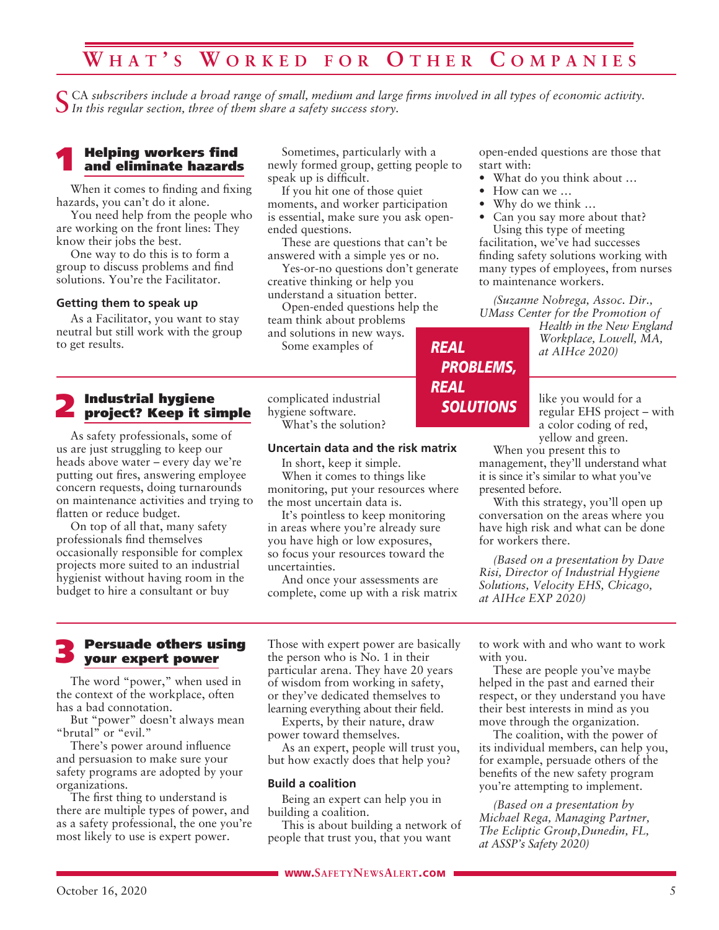### **W h a t ' s W o r k e d f o r O t h e r C o m p a n i e s**

CA subscribers include a broad range of small, medium and large firms involved in all types of economic activity. *In this regular section, three of them share a safety success story.*

# 1 Helping workers find and eliminate hazards

When it comes to finding and fixing hazards, you can't do it alone.

You need help from the people who are working on the front lines: They know their jobs the best.

One way to do this is to form a group to discuss problems and find solutions. You're the Facilitator.

#### **Getting them to speak up**

As a Facilitator, you want to stay neutral but still work with the group to get results.

# 2 Industrial hygiene project? Keep it simple

As safety professionals, some of us are just struggling to keep our heads above water – every day we're putting out fires, answering employee concern requests, doing turnarounds on maintenance activities and trying to flatten or reduce budget.

On top of all that, many safety professionals find themselves occasionally responsible for complex projects more suited to an industrial hygienist without having room in the budget to hire a consultant or buy

Sometimes, particularly with a newly formed group, getting people to speak up is difficult.

If you hit one of those quiet moments, and worker participation is essential, make sure you ask openended questions.

These are questions that can't be answered with a simple yes or no.

Yes-or-no questions don't generate creative thinking or help you understand a situation better.

*REAL*

*REAL*

*PROBLEMS,*

*SOLUTIONS*

Open-ended questions help the team think about problems and solutions in new ways.

Some examples of

complicated industrial hygiene software. What's the solution?

#### **Uncertain data and the risk matrix**

In short, keep it simple. When it comes to things like monitoring, put your resources where the most uncertain data is.

It's pointless to keep monitoring in areas where you're already sure you have high or low exposures, so focus your resources toward the uncertainties.

And once your assessments are complete, come up with a risk matrix open-ended questions are those that start with:

- What do you think about …
- How can we ...
- Why do we think …
- Can you say more about that? Using this type of meeting

facilitation, we've had successes finding safety solutions working with many types of employees, from nurses to maintenance workers.

*(Suzanne Nobrega, Assoc. Dir., UMass Center for the Promotion of* 

*Health in the New England Workplace, Lowell, MA, at AIHce 2020)*

like you would for a regular EHS project – with a color coding of red, yellow and green.

When you present this to management, they'll understand what it is since it's similar to what you've presented before.

With this strategy, you'll open up conversation on the areas where you have high risk and what can be done for workers there.

*(Based on a presentation by Dave Risi, Director of Industrial Hygiene Solutions, Velocity EHS, Chicago, at AIHce EXP 2020)*

### 3 Persuade others using your expert power

The word "power," when used in the context of the workplace, often has a bad connotation.

But "power" doesn't always mean "brutal" or "evil."

There's power around influence and persuasion to make sure your safety programs are adopted by your organizations.

The first thing to understand is there are multiple types of power, and as a safety professional, the one you're most likely to use is expert power.

Those with expert power are basically the person who is No. 1 in their particular arena. They have 20 years of wisdom from working in safety, or they've dedicated themselves to learning everything about their field.

Experts, by their nature, draw power toward themselves.

As an expert, people will trust you, but how exactly does that help you?

#### **Build a coalition**

Being an expert can help you in building a coalition.

This is about building a network of people that trust you, that you want

to work with and who want to work with you.

These are people you've maybe helped in the past and earned their respect, or they understand you have their best interests in mind as you move through the organization.

The coalition, with the power of its individual members, can help you, for example, persuade others of the benefits of the new safety program you're attempting to implement.

*(Based on a presentation by Michael Rega, Managing Partner, The Ecliptic Group,Dunedin, FL, at ASSP's Safety 2020)*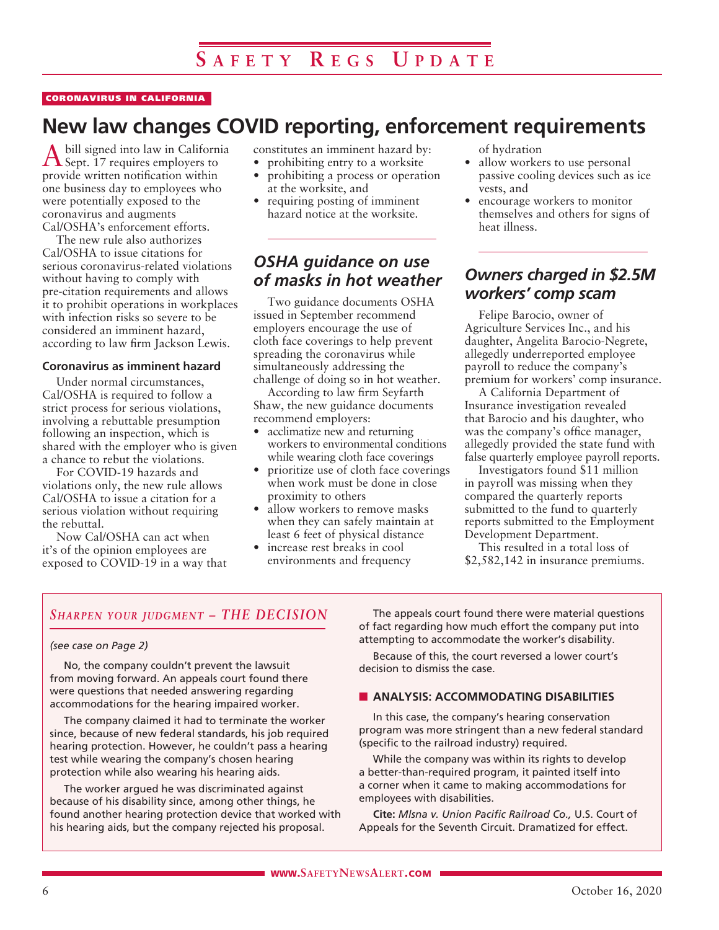#### CORONAVIRUS IN CALIFORNIA

### **New law changes COVID reporting, enforcement requirements**

bill signed into law in California Sept. 17 requires employers to provide written notification within one business day to employees who were potentially exposed to the coronavirus and augments Cal/OSHA's enforcement efforts.

The new rule also authorizes Cal/OSHA to issue citations for serious coronavirus-related violations without having to comply with pre-citation requirements and allows it to prohibit operations in workplaces with infection risks so severe to be considered an imminent hazard, according to law firm Jackson Lewis.

#### **Coronavirus as imminent hazard**

Under normal circumstances, Cal/OSHA is required to follow a strict process for serious violations, involving a rebuttable presumption following an inspection, which is shared with the employer who is given a chance to rebut the violations.

For COVID-19 hazards and violations only, the new rule allows Cal/OSHA to issue a citation for a serious violation without requiring the rebuttal.

Now Cal/OSHA can act when it's of the opinion employees are exposed to COVID-19 in a way that constitutes an imminent hazard by:

- prohibiting entry to a worksite • prohibiting a process or operation at the worksite, and
- requiring posting of imminent hazard notice at the worksite.

### *OSHA guidance on use of masks in hot weather*

Two guidance documents OSHA issued in September recommend employers encourage the use of cloth face coverings to help prevent spreading the coronavirus while simultaneously addressing the challenge of doing so in hot weather.

According to law firm Seyfarth Shaw, the new guidance documents recommend employers:

- acclimatize new and returning workers to environmental conditions while wearing cloth face coverings
- prioritize use of cloth face coverings when work must be done in close proximity to others
- allow workers to remove masks when they can safely maintain at least 6 feet of physical distance
- increase rest breaks in cool environments and frequency

of hydration

- allow workers to use personal passive cooling devices such as ice vests, and
- encourage workers to monitor themselves and others for signs of heat illness.

### *Owners charged in \$2.5M workers' comp scam*

Felipe Barocio, owner of Agriculture Services Inc., and his daughter, Angelita Barocio-Negrete, allegedly underreported employee payroll to reduce the company's premium for workers' comp insurance.

A California Department of Insurance investigation revealed that Barocio and his daughter, who was the company's office manager, allegedly provided the state fund with false quarterly employee payroll reports.

Investigators found \$11 million in payroll was missing when they compared the quarterly reports submitted to the fund to quarterly reports submitted to the Employment Development Department.

This resulted in a total loss of \$2,582,142 in insurance premiums.

### *Sharpen your judgment – THE DECISION*

### *(see case on Page 2)*

No, the company couldn't prevent the lawsuit from moving forward. An appeals court found there were questions that needed answering regarding accommodations for the hearing impaired worker.

The company claimed it had to terminate the worker since, because of new federal standards, his job required hearing protection. However, he couldn't pass a hearing test while wearing the company's chosen hearing protection while also wearing his hearing aids.

The worker argued he was discriminated against because of his disability since, among other things, he found another hearing protection device that worked with his hearing aids, but the company rejected his proposal.

The appeals court found there were material questions of fact regarding how much effort the company put into attempting to accommodate the worker's disability.

Because of this, the court reversed a lower court's decision to dismiss the case.

#### **N** ANALYSIS: ACCOMMODATING DISABILITIES

In this case, the company's hearing conservation program was more stringent than a new federal standard (specific to the railroad industry) required.

While the company was within its rights to develop a better-than-required program, it painted itself into a corner when it came to making accommodations for employees with disabilities.

**Cite:** *Mlsna v. Union Pacific Railroad Co.,* U.S. Court of Appeals for the Seventh Circuit. Dramatized for effect.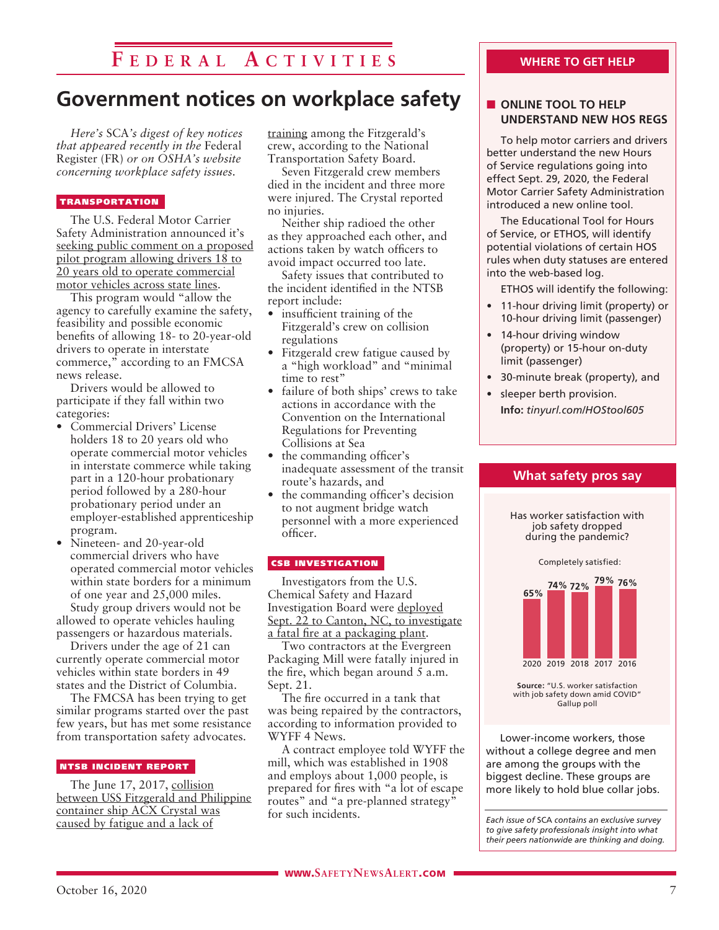### **F e d e r a l A c t i v i t i e s**

### **Government notices on workplace safety**

*Here's* SCA*'s digest of key notices that appeared recently in the* Federal Register (FR) *or on OSHA's website concerning workplace safety issues.* 

#### TRANSPORTATION

The U.S. Federal Motor Carrier Safety Administration announced it's seeking public comment on a proposed pilot program allowing drivers 18 to 20 years old to operate commercial motor vehicles across state lines.

This program would "allow the agency to carefully examine the safety, feasibility and possible economic benefits of allowing 18- to 20-year-old drivers to operate in interstate commerce," according to an FMCSA news release.

Drivers would be allowed to participate if they fall within two categories:

- Commercial Drivers' License holders 18 to 20 years old who operate commercial motor vehicles in interstate commerce while taking part in a 120-hour probationary period followed by a 280-hour probationary period under an employer-established apprenticeship program.
- Nineteen- and 20-year-old commercial drivers who have operated commercial motor vehicles within state borders for a minimum of one year and 25,000 miles. Study group drivers would not be

allowed to operate vehicles hauling passengers or hazardous materials.

Drivers under the age of 21 can currently operate commercial motor vehicles within state borders in 49 states and the District of Columbia.

The FMCSA has been trying to get similar programs started over the past few years, but has met some resistance from transportation safety advocates.

#### NTSB INCIDENT REPORT

The June 17, 2017, collision between USS Fitzgerald and Philippine container ship ACX Crystal was caused by fatigue and a lack of

training among the Fitzgerald's crew, according to the National Transportation Safety Board.

Seven Fitzgerald crew members died in the incident and three more were injured. The Crystal reported no injuries.

Neither ship radioed the other as they approached each other, and actions taken by watch officers to avoid impact occurred too late.

Safety issues that contributed to the incident identified in the NTSB report include:

- insufficient training of the Fitzgerald's crew on collision regulations
- Fitzgerald crew fatigue caused by a "high workload" and "minimal time to rest"
- failure of both ships' crews to take actions in accordance with the Convention on the International Regulations for Preventing Collisions at Sea
- the commanding officer's inadequate assessment of the transit route's hazards, and
- the commanding officer's decision to not augment bridge watch personnel with a more experienced officer.

### CSB INVESTIGATION

Investigators from the U.S. Chemical Safety and Hazard Investigation Board were deployed Sept. 22 to Canton, NC, to investigate a fatal fire at a packaging plant.

Two contractors at the Evergreen Packaging Mill were fatally injured in the fire, which began around 5 a.m. Sept. 21.

The fire occurred in a tank that was being repaired by the contractors, according to information provided to WYFF 4 News.

A contract employee told WYFF the mill, which was established in 1908 and employs about 1,000 people, is prepared for fires with "a lot of escape routes" and "a pre-planned strategy" for such incidents.

### **WHERE TO GET HELP**

### **N** ONLINE TOOL TO HELP **UNDERSTAND NEW HOS REGS**

To help motor carriers and drivers better understand the new Hours of Service regulations going into effect Sept. 29, 2020, the Federal Motor Carrier Safety Administration introduced a new online tool.

The Educational Tool for Hours of Service, or ETHOS, will identify potential violations of certain HOS rules when duty statuses are entered into the web-based log.

ETHOS will identify the following:

- 11-hour driving limit (property) or 10-hour driving limit (passenger)
- 14-hour driving window (property) or 15-hour on-duty limit (passenger)
- 30-minute break (property), and

**What safety pros say**

Has worker satisfaction with job safety dropped during the pandemic?

• sleeper berth provision. **Info:** *tinyurl.com/HOStool605*



**Source:** "U.S. worker satisfaction with job safety down amid COVID" Gallup poll

Lower-income workers, those without a college degree and men are among the groups with the biggest decline. These groups are more likely to hold blue collar jobs.

*Each issue of* SCA *contains an exclusive survey to give safety professionals insight into what their peers nationwide are thinking and doing.*